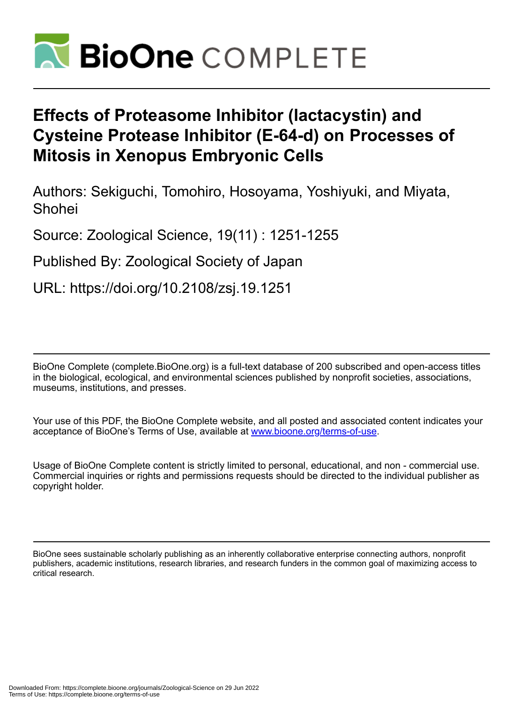

# **Effects of Proteasome Inhibitor (lactacystin) and Cysteine Protease Inhibitor (E-64-d) on Processes of Mitosis in Xenopus Embryonic Cells**

Authors: Sekiguchi, Tomohiro, Hosoyama, Yoshiyuki, and Miyata, Shohei

Source: Zoological Science, 19(11) : 1251-1255

Published By: Zoological Society of Japan

URL: https://doi.org/10.2108/zsj.19.1251

BioOne Complete (complete.BioOne.org) is a full-text database of 200 subscribed and open-access titles in the biological, ecological, and environmental sciences published by nonprofit societies, associations, museums, institutions, and presses.

Your use of this PDF, the BioOne Complete website, and all posted and associated content indicates your acceptance of BioOne's Terms of Use, available at www.bioone.org/terms-of-use.

Usage of BioOne Complete content is strictly limited to personal, educational, and non - commercial use. Commercial inquiries or rights and permissions requests should be directed to the individual publisher as copyright holder.

BioOne sees sustainable scholarly publishing as an inherently collaborative enterprise connecting authors, nonprofit publishers, academic institutions, research libraries, and research funders in the common goal of maximizing access to critical research.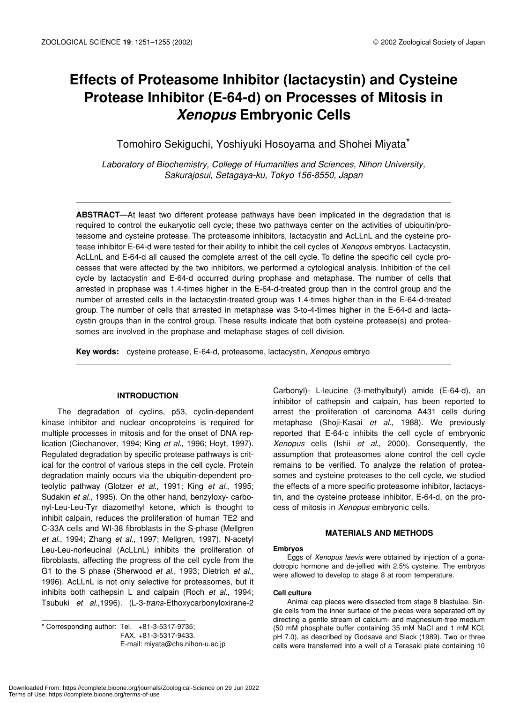# **Effects of Proteasome Inhibitor (lactacystin) and Cysteine Protease Inhibitor (E-64-d) on Processes of Mitosis in** *Xenopus* **Embryonic Cells**

Tomohiro Sekiguchi, Yoshiyuki Hosoyama and Shohei Miyata\*

*Laboratory of Biochemistry, College of Humanities and Sciences, Nihon University, Sakurajosui, Setagaya-ku, Tokyo 156-8550, Japan*

**ABSTRACT**—At least two different protease pathways have been implicated in the degradation that is required to control the eukaryotic cell cycle; these two pathways center on the activities of ubiquitin/proteasome and cysteine protease. The proteasome inhibitors, lactacystin and AcLLnL and the cysteine protease inhibitor E-64-d were tested for their ability to inhibit the cell cycles of *Xenopus* embryos. Lactacystin, AcLLnL and E-64-d all caused the complete arrest of the cell cycle. To define the specific cell cycle processes that were affected by the two inhibitors, we performed a cytological analysis. Inhibition of the cell cycle by lactacystin and E-64-d occurred during prophase and metaphase. The number of cells that arrested in prophase was 1.4-times higher in the E-64-d-treated group than in the control group and the number of arrested cells in the lactacystin-treated group was 1.4-times higher than in the E-64-d-treated group. The number of cells that arrested in metaphase was 3-to-4-times higher in the E-64-d and lactacystin groups than in the control group. These results indicate that both cysteine protease(s) and proteasomes are involved in the prophase and metaphase stages of cell division.

**Key words:** cysteine protease, E-64-d, proteasome, lactacystin, *Xenopus* embryo

## **INTRODUCTION**

The degradation of cyclins, p53, cyclin-dependent kinase inhibitor and nuclear oncoproteins is required for multiple processes in mitosis and for the onset of DNA replication (Ciechanover, 1994; King *et al*., 1996; Hoyt, 1997). Regulated degradation by specific protease pathways is critical for the control of various steps in the cell cycle. Protein degradation mainly occurs via the ubiquitin-dependent proteolytic pathway (Glotzer *et al*., 1991; King *et al*., 1995; Sudakin *et al*., 1995). On the other hand, benzyloxy- carbonyl-Leu-Leu-Tyr diazomethyl ketone, which is thought to inhibit calpain, reduces the proliferation of human TE2 and C-33A cells and WI-38 fibroblasts in the S-phase (Mellgren *et al*., 1994; Zhang *et al*., 1997; Mellgren, 1997). N-acetyl Leu-Leu-norleucinal (AcLLnL) inhibits the proliferation of fibroblasts, affecting the progress of the cell cycle from the G1 to the S phase (Sherwood *et al*., 1993; Dietrich *et al*., 1996). AcLLnL is not only selective for proteasomes, but it inhibits both cathepsin L and calpain (Roch *et al*., 1994; Tsubuki *et al*.,1996). (L-3-*trans*-Ethoxycarbonyloxirane-2

\* Corresponding author: Tel. +81-3-5317-9735; FAX. +81-3-5317-9433. E-mail: miyata@chs.nihon-u.ac.jp Carbonyl)- L-leucine (3-methylbutyl) amide (E-64-d), an inhibitor of cathepsin and calpain, has been reported to arrest the proliferation of carcinoma A431 cells during metaphase (Shoji-Kasai *et al*., 1988). We previously reported that E-64-c inhibits the cell cycle of embryonic *Xenopus* cells (Ishii *et al*., 2000). Consequently, the assumption that proteasomes alone control the cell cycle remains to be verified. To analyze the relation of proteasomes and cysteine proteases to the cell cycle, we studied the effects of a more specific proteasome inhibitor, lactacystin, and the cysteine protease inhibitor, E-64-d, on the process of mitosis in *Xenopus* embryonic cells.

#### **MATERIALS AND METHODS**

#### **Embryos**

Eggs of *Xenopus laevis* were obtained by injection of a gonadotropic hormone and de-jellied with 2.5% cysteine. The embryos were allowed to develop to stage 8 at room temperature.

#### **Cell culture**

Animal cap pieces were dissected from stage 8 blastulae. Single cells from the inner surface of the pieces were separated off by directing a gentle stream of calcium- and magnesium-free medium (50 mM phosphate buffer containing 35 mM NaCl and 1 mM KCl, pH 7.0), as described by Godsave and Slack (1989). Two or three cells were transferred into a well of a Terasaki plate containing 10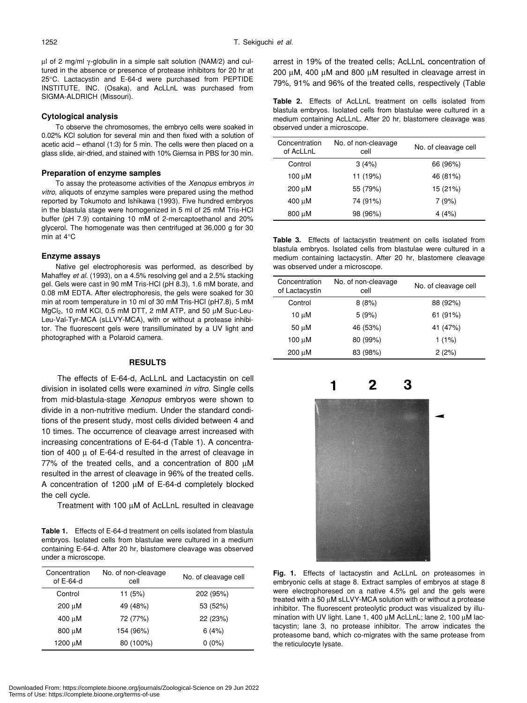µl of 2 mg/ml γ-globulin in a simple salt solution (NAM/2) and cultured in the absence or presence of protease inhibitors for 20 hr at 25°C. Lactacystin and E-64-d were purchased from PEPTIDE INSTITUTE, INC. (Osaka), and AcLLnL was purchased from SIGMA-ALDRICH (Missouri).

# **Cytological analysis**

To observe the chromosomes, the embryo cells were soaked in 0.02% KCl solution for several min and then fixed with a solution of acetic acid – ethanol (1:3) for 5 min. The cells were then placed on a glass slide, air-dried, and stained with 10% Giemsa in PBS for 30 min.

# **Preparation of enzyme samples**

To assay the proteasome activities of the *Xenopus* embryos *in vitro*, aliquots of enzyme samples were prepared using the method reported by Tokumoto and Ishikawa (1993). Five hundred embryos in the blastula stage were homogenized in 5 ml of 25 mM Tris-HCl buffer (pH 7.9) containing 10 mM of 2-mercaptoethanol and 20% glycerol. The homogenate was then centrifuged at 36,000 g for 30 min at 4°C

# **Enzyme assays**

Native gel electrophoresis was performed, as described by Mahaffey *et al*. (1993), on a 4.5% resolving gel and a 2.5% stacking gel. Gels were cast in 90 mM Tris-HCl (pH 8.3), 1.6 mM borate, and 0.08 mM EDTA. After electrophoresis, the gels were soaked for 30 min at room temperature in 10 ml of 30 mM Tris-HCl (pH7.8), 5 mM  $MgCl<sub>2</sub>$ , 10 mM KCl, 0.5 mM DTT, 2 mM ATP, and 50  $\mu$ M Suc-Leu-Leu-Val-Tyr-MCA (sLLVY-MCA), with or without a protease inhibitor. The fluorescent gels were transilluminated by a UV light and photographed with a Polaroid camera.

## **RESULTS**

The effects of E-64-d, AcLLnL and Lactacystin on cell division in isolated cells were examined *in vitro*. Single cells from mid-blastula-stage *Xenopus* embryos were shown to divide in a non-nutritive medium. Under the standard conditions of the present study, most cells divided between 4 and 10 times. The occurrence of cleavage arrest increased with increasing concentrations of E-64-d (Table 1). A concentration of 400  $\mu$  of E-64-d resulted in the arrest of cleavage in 77% of the treated cells, and a concentration of 800  $\mu$ M resulted in the arrest of cleavage in 96% of the treated cells. A concentration of 1200 µM of E-64-d completely blocked the cell cycle.

Treatment with 100 µM of AcLLnL resulted in cleavage

**Table 1.** Effects of E-64-d treatment on cells isolated from blastula embryos. Isolated cells from blastulae were cultured in a medium containing E-64-d. After 20 hr, blastomere cleavage was observed under a microscope.

| Concentration<br>of $E-64-d$ | No. of non-cleavage<br>cell | No. of cleavage cell |  |
|------------------------------|-----------------------------|----------------------|--|
| Control                      | 11 $(5%)$                   | 202 (95%)            |  |
| 200 µM                       | 49 (48%)                    | 53 (52%)             |  |
| 400 uM                       | 72 (77%)                    | 22 (23%)             |  |
| 800 uM                       | 154 (96%)                   | 6(4%)                |  |
| 1200 µM                      | 80 (100%)                   | $0(0\%)$             |  |

Downloaded From: https://complete.bioone.org/journals/Zoological-Science on 29 Jun 2022 Terms of Use: https://complete.bioone.org/terms-of-use

arrest in 19% of the treated cells; AcLLnL concentration of 200 µM, 400 µM and 800 µM resulted in cleavage arrest in 79%, 91% and 96% of the treated cells, respectively (Table

**Table 2.** Effects of AcLLnL treatment on cells isolated from blastula embryos. Isolated cells from blastulae were cultured in a medium containing AcLLnL. After 20 hr, blastomere cleavage was observed under a microscope.

| Concentration<br>of AcLLnL | No. of non-cleavage<br>No. of cleavage cell<br>cell |          |
|----------------------------|-----------------------------------------------------|----------|
| Control                    | 3(4%)                                               | 66 (96%) |
| 100 $\mu$ M                | 11 (19%)                                            | 46 (81%) |
| $200 \mu M$                | 55 (79%)                                            | 15 (21%) |
| $400 \mu M$                | 74 (91%)                                            | 7(9%)    |
| 800 µM                     | 98 (96%)                                            | 4(4%)    |

**Table 3.** Effects of lactacystin treatment on cells isolated from blastula embryos. Isolated cells from blastulae were cultured in a medium containing lactacystin. After 20 hr, blastomere cleavage was observed under a microscope.

| Concentration<br>of Lactacystin | No. of non-cleavage<br>cell | No. of cleavage cell |  |
|---------------------------------|-----------------------------|----------------------|--|
| Control                         | 8(8%)                       | 88 (92%)             |  |
| 10 µM                           | 5(9%)                       | 61 (91%)             |  |
| 50 uM                           | 46 (53%)                    | 41 (47%)             |  |
| 100 uM                          | 80 (99%)                    | $1(1\%)$             |  |
| $200 \mu M$                     | 83 (98%)                    | 2(2%)                |  |



**Fig. 1.** Effects of lactacystin and AcLLnL on proteasomes in embryonic cells at stage 8. Extract samples of embryos at stage 8 were electrophoresed on a native 4.5% gel and the gels were treated with a 50 µM sLLVY-MCA solution with or without a protease inhibitor. The fluorescent proteolytic product was visualized by illumination with UV light. Lane 1, 400 μM AcLLnL; lane 2, 100 μM lactacystin; lane 3, no protease inhibitor. The arrow indicates the proteasome band, which co-migrates with the same protease from the reticulocyte lysate.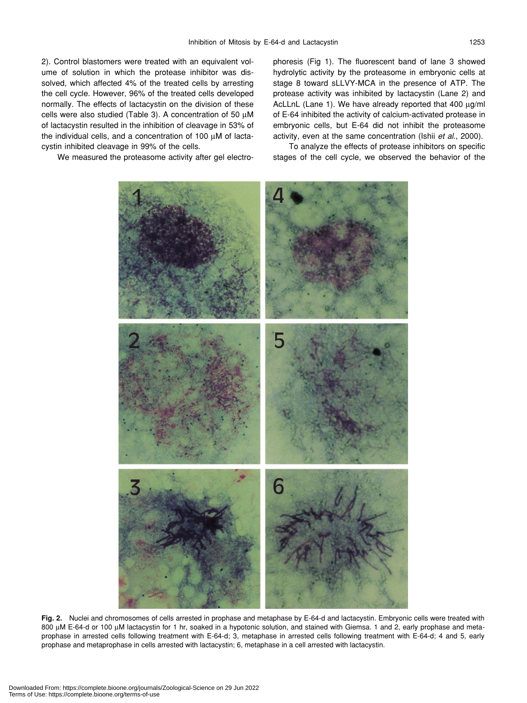2). Control blastomers were treated with an equivalent volume of solution in which the protease inhibitor was dissolved, which affected 4% of the treated cells by arresting the cell cycle. However, 96% of the treated cells developed normally. The effects of lactacystin on the division of these cells were also studied (Table 3). A concentration of 50 µM of lactacystin resulted in the inhibition of cleavage in 53% of the individual cells, and a concentration of 100 µM of lactacystin inhibited cleavage in 99% of the cells.

We measured the proteasome activity after gel electro-

phoresis (Fig 1). The fluorescent band of lane 3 showed hydrolytic activity by the proteasome in embryonic cells at stage 8 toward sLLVY-MCA in the presence of ATP. The protease activity was inhibited by lactacystin (Lane 2) and AcLLnL (Lane 1). We have already reported that 400 µg/ml of E-64 inhibited the activity of calcium-activated protease in embryonic cells, but E-64 did not inhibit the proteasome activity, even at the same concentration (Ishii *et al*., 2000).

To analyze the effects of protease inhibitors on specific stages of the cell cycle, we observed the behavior of the



**Fig. 2.** Nuclei and chromosomes of cells arrested in prophase and metaphase by E-64-d and lactacystin. Embryonic cells were treated with 800 µM E-64-d or 100 µM lactacystin for 1 hr, soaked in a hypotonic solution, and stained with Giemsa. 1 and 2, early prophase and metaprophase in arrested cells following treatment with E-64-d; 3, metaphase in arrested cells following treatment with E-64-d; 4 and 5, early prophase and metaprophase in cells arrested with lactacystin; 6, metaphase in a cell arrested with lactacystin.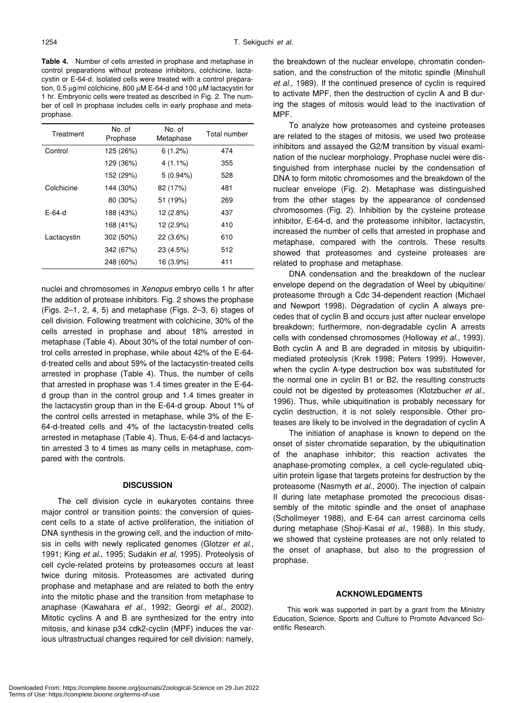**Table 4.** Number of cells arrested in prophase and metaphase in control preparations without protease inhibitors, colchicine, lactacystin or E-64-d. Isolated cells were treated with a control preparation, 0.5 µg/ml colchicine, 800 µM E-64-d and 100 µM lactacystin for 1 hr. Embryonic cells were treated as described in Fig. 2. The number of cell in prophase includes cells in early prophase and metaprophase.

| Treatment   | No. of<br>Prophase | No. of<br>Metaphase | Total number |
|-------------|--------------------|---------------------|--------------|
| Control     | 125 (26%)          | 6(1.2%)             | 474          |
|             | 129 (36%)          | $4(1.1\%)$          | 355          |
|             | 152 (29%)          | $5(0.94\%)$         | 528          |
| Colchicine  | 144 (30%)          | 82 (17%)            | 481          |
|             | 80 (30%)           | 51 (19%)            | 269          |
| E-64-d      | 188 (43%)          | 12 (2.8%)           | 437          |
|             | 168 (41%)          | 12 (2.9%)           | 410          |
| Lactacystin | 302 (50%)          | $22(3.6\%)$         | 610          |
|             | 342 (67%)          | 23 (4.5%)           | 512          |
|             | 248 (60%)          | 16 (3.9%)           | 411          |

nuclei and chromosomes in *Xenopus* embryo cells 1 hr after the addition of protease inhibitors. Fig. 2 shows the prophase (Figs. 2–1, 2, 4, 5) and metaphase (Figs. 2–3, 6) stages of cell division. Following treatment with colchicine, 30% of the cells arrested in prophase and about 18% arrested in metaphase (Table 4). About 30% of the total number of control cells arrested in prophase, while about 42% of the E-64 d-treated cells and about 59% of the lactacystin-treated cells arrested in prophase (Table 4). Thus, the number of cells that arrested in prophase was 1.4 times greater in the E-64 d group than in the control group and 1.4 times greater in the lactacystin group than in the E-64-d group. About 1% of the control cells arrested in metaphase, while 3% of the E-64-d-treated cells and 4% of the lactacystin-treated cells arrested in metaphase (Table 4). Thus, E-64-d and lactacystin arrested 3 to 4 times as many cells in metaphase, compared with the controls.

#### **DISCUSSION**

The cell division cycle in eukaryotes contains three major control or transition points: the conversion of quiescent cells to a state of active proliferation, the initiation of DNA synthesis in the growing cell, and the induction of mitosis in cells with newly replicated genomes (Glotzer *et al*., 1991; King *et al*., 1995; Sudakin *et al*, 1995). Proteolysis of cell cycle-related proteins by proteasomes occurs at least twice during mitosis. Proteasomes are activated during prophase and metaphase and are related to both the entry into the mitotic phase and the transition from metaphase to anaphase (Kawahara *et al*., 1992; Georgi *et al*., 2002). Mitotic cyclins A and B are synthesized for the entry into mitosis, and kinase p34 cdk2-cyclin (MPF) induces the various ultrastructual changes required for cell division: namely, the breakdown of the nuclear envelope, chromatin condensation, and the construction of the mitotic spindle (Minshull *et al*., 1989). If the continued presence of cyclin is required to activate MPF, then the destruction of cyclin A and B during the stages of mitosis would lead to the inactivation of MPF.

To analyze how proteasomes and cysteine proteases are related to the stages of mitosis, we used two protease inhibitors and assayed the G2/M transition by visual examination of the nuclear morphology. Prophase nuclei were distinguished from interphase nuclei by the condensation of DNA to form mitotic chromosomes and the breakdown of the nuclear envelope (Fig. 2). Metaphase was distinguished from the other stages by the appearance of condensed chromosomes (Fig. 2). Inhibition by the cysteine protease inhibitor, E-64-d, and the proteasome inhibitor, lactacystin, increased the number of cells that arrested in prophase and metaphase, compared with the controls. These results showed that proteasomes and cysteine proteases are related to prophase and metaphase.

DNA condensation and the breakdown of the nuclear envelope depend on the degradation of Weel by ubiquitine/ proteasome through a Cdc 34-dependent reaction (Michael and Newport 1998). Degradation of cyclin A always precedes that of cyclin B and occurs just after nuclear envelope breakdown; furthermore, non-degradable cyclin A arrests cells with condensed chromosomes (Holloway *et al*., 1993). Both cyclin A and B are degraded in mitosis by ubiquitinmediated proteolysis (Krek 1998; Peters 1999). However, when the cyclin A-type destruction box was substituted for the normal one in cyclin B1 or B2, the resulting constructs could not be digested by proteasomes (Klotzbucher *et al*., 1996). Thus, while ubiquitination is probably necessary for cyclin destruction, it is not solely responsible. Other proteases are likely to be involved in the degradation of cyclin A

The initiation of anaphase is known to depend on the onset of sister chromatide separation, by the ubiquitination of the anaphase inhibitor; this reaction activates the anaphase-promoting complex, a cell cycle-regulated ubiquitin protein ligase that targets proteins for destruction by the proteasome (Nasmyth *et al*., 2000). The injection of calpain II during late metaphase promoted the precocious disassembly of the mitotic spindle and the onset of anaphase (Schollmeyer 1988), and E-64 can arrest carcinoma cells during metaphase (Shoji-Kasai *et al*., 1988). In this study, we showed that cysteine proteases are not only related to the onset of anaphase, but also to the progression of prophase.

#### **ACKNOWLEDGMENTS**

This work was supported in part by a grant from the Ministry Education, Science, Sports and Culture to Promote Advanced Scientific Research.